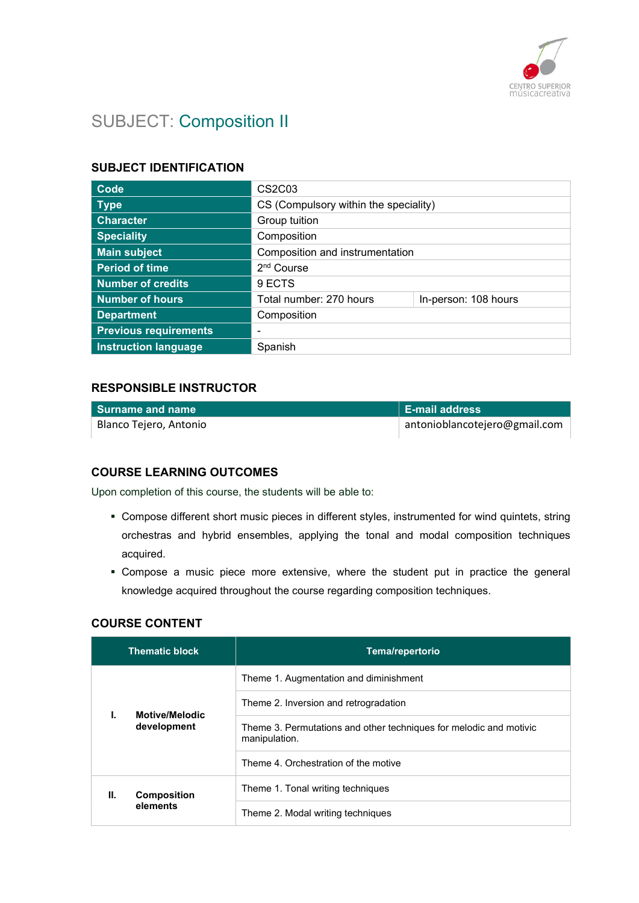

# SUBJECT: Composition II

#### SUBJECT IDENTIFICATION

| <b>Code</b>                  | CS <sub>2</sub> C <sub>03</sub>       |                      |
|------------------------------|---------------------------------------|----------------------|
| <b>Type</b>                  | CS (Compulsory within the speciality) |                      |
| <b>Character</b>             | Group tuition                         |                      |
| <b>Speciality</b>            | Composition                           |                      |
| <b>Main subject</b>          | Composition and instrumentation       |                      |
| <b>Period of time</b>        | 2 <sup>nd</sup> Course                |                      |
| <b>Number of credits</b>     | 9 ECTS                                |                      |
| <b>Number of hours</b>       | Total number: 270 hours               | In-person: 108 hours |
| <b>Department</b>            | Composition                           |                      |
| <b>Previous requirements</b> | -                                     |                      |
| <b>Instruction language</b>  | Spanish                               |                      |

### RESPONSIBLE INSTRUCTOR

| Surname and name       | <b>E-mail address</b>         |
|------------------------|-------------------------------|
| Blanco Tejero, Antonio | antonioblancotejero@gmail.com |

#### COURSE LEARNING OUTCOMES

Upon completion of this course, the students will be able to:

- Compose different short music pieces in different styles, instrumented for wind quintets, string orchestras and hybrid ensembles, applying the tonal and modal composition techniques acquired.
- Compose a music piece more extensive, where the student put in practice the general knowledge acquired throughout the course regarding composition techniques.

#### COURSE CONTENT

|                               | <b>Thematic block</b>                                                               | <b>Tema/repertorio</b>                |
|-------------------------------|-------------------------------------------------------------------------------------|---------------------------------------|
|                               | Theme 1. Augmentation and diminishment                                              |                                       |
|                               |                                                                                     | Theme 2. Inversion and retrogradation |
| Motive/Melodic<br>development | Theme 3. Permutations and other techniques for melodic and motivic<br>manipulation. |                                       |
|                               | Theme 4. Orchestration of the motive                                                |                                       |
| Н.                            | <b>Composition</b>                                                                  | Theme 1. Tonal writing techniques     |
| elements                      | Theme 2. Modal writing techniques                                                   |                                       |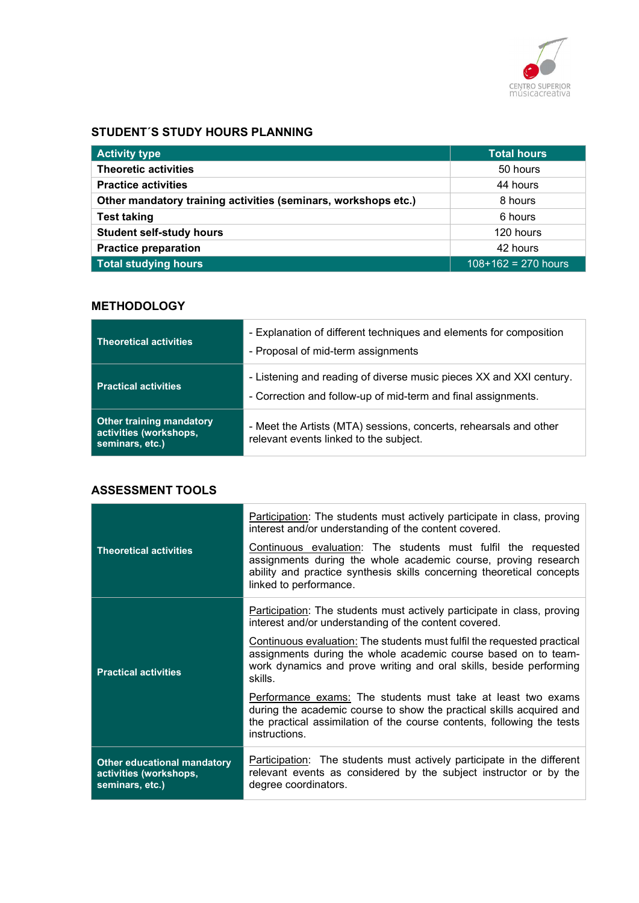

#### STUDENT´S STUDY HOURS PLANNING

| <b>Activity type</b>                                           | <b>Total hours</b>    |
|----------------------------------------------------------------|-----------------------|
| <b>Theoretic activities</b>                                    | 50 hours              |
| <b>Practice activities</b>                                     | 44 hours              |
| Other mandatory training activities (seminars, workshops etc.) | 8 hours               |
| <b>Test taking</b>                                             | 6 hours               |
| <b>Student self-study hours</b>                                | 120 hours             |
| <b>Practice preparation</b>                                    | 42 hours              |
| <b>Total studying hours</b>                                    | $108+162 = 270$ hours |

#### **METHODOLOGY**

| <b>Theoretical activities</b>                                                | - Explanation of different techniques and elements for composition<br>- Proposal of mid-term assignments                             |
|------------------------------------------------------------------------------|--------------------------------------------------------------------------------------------------------------------------------------|
| <b>Practical activities</b>                                                  | - Listening and reading of diverse music pieces XX and XXI century.<br>- Correction and follow-up of mid-term and final assignments. |
| <b>Other training mandatory</b><br>activities (workshops,<br>seminars, etc.) | - Meet the Artists (MTA) sessions, concerts, rehearsals and other<br>relevant events linked to the subject.                          |

## ASSESSMENT TOOLS

|                                                                                 | Participation: The students must actively participate in class, proving<br>interest and/or understanding of the content covered.                                                                                                   |
|---------------------------------------------------------------------------------|------------------------------------------------------------------------------------------------------------------------------------------------------------------------------------------------------------------------------------|
| <b>Theoretical activities</b>                                                   | Continuous evaluation: The students must fulfil the requested<br>assignments during the whole academic course, proving research<br>ability and practice synthesis skills concerning theoretical concepts<br>linked to performance. |
|                                                                                 | <b>Participation:</b> The students must actively participate in class, proving<br>interest and/or understanding of the content covered.                                                                                            |
| <b>Practical activities</b>                                                     | Continuous evaluation: The students must fulfil the requested practical<br>assignments during the whole academic course based on to team-<br>work dynamics and prove writing and oral skills, beside performing<br>skills.         |
|                                                                                 | Performance exams: The students must take at least two exams<br>during the academic course to show the practical skills acquired and<br>the practical assimilation of the course contents, following the tests<br>instructions.    |
| <b>Other educational mandatory</b><br>activities (workshops,<br>seminars, etc.) | <b>Participation:</b> The students must actively participate in the different<br>relevant events as considered by the subject instructor or by the<br>degree coordinators.                                                         |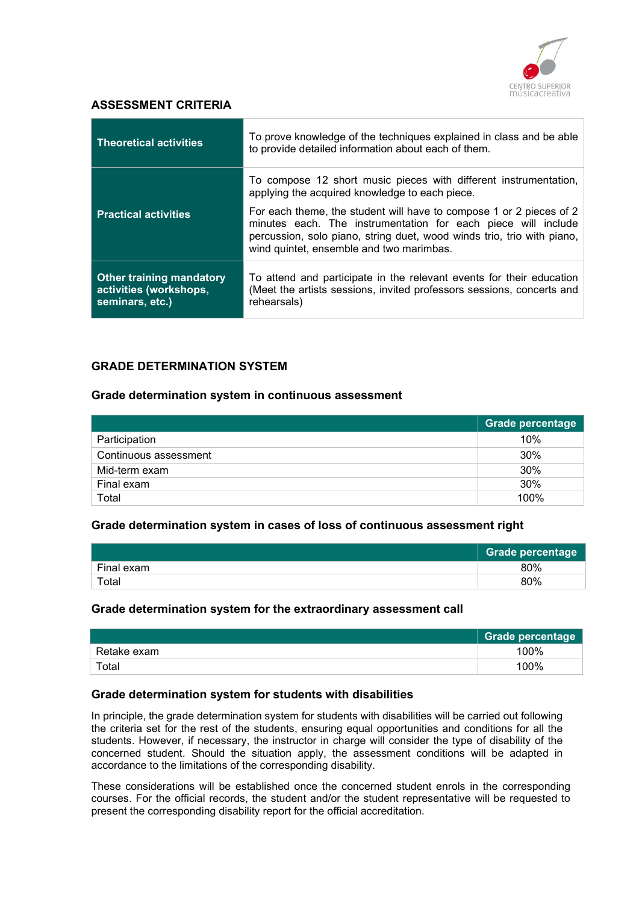

#### ASSESSMENT CRITERIA

| <b>Theoretical activities</b>                                                | To prove knowledge of the techniques explained in class and be able<br>to provide detailed information about each of them.                                                                                                                                 |
|------------------------------------------------------------------------------|------------------------------------------------------------------------------------------------------------------------------------------------------------------------------------------------------------------------------------------------------------|
| <b>Practical activities</b>                                                  | To compose 12 short music pieces with different instrumentation,<br>applying the acquired knowledge to each piece.                                                                                                                                         |
|                                                                              | For each theme, the student will have to compose 1 or 2 pieces of 2<br>minutes each. The instrumentation for each piece will include<br>percussion, solo piano, string duet, wood winds trio, trio with piano,<br>wind quintet, ensemble and two marimbas. |
| <b>Other training mandatory</b><br>activities (workshops,<br>seminars, etc.) | To attend and participate in the relevant events for their education<br>(Meet the artists sessions, invited professors sessions, concerts and<br>rehearsals)                                                                                               |

#### GRADE DETERMINATION SYSTEM

#### Grade determination system in continuous assessment

|                       | <b>Grade percentage</b> |
|-----------------------|-------------------------|
| Participation         | 10%                     |
| Continuous assessment | 30%                     |
| Mid-term exam         | 30%                     |
| Final exam            | 30%                     |
| Total                 | 100%                    |

#### Grade determination system in cases of loss of continuous assessment right

|            | <b>Grade percentage</b> |
|------------|-------------------------|
| Final exam | 80%                     |
| Total      | 80%                     |

#### Grade determination system for the extraordinary assessment call

|             | Grade percentage |
|-------------|------------------|
| Retake exam | 100%             |
| Total       | 100%             |

#### Grade determination system for students with disabilities

In principle, the grade determination system for students with disabilities will be carried out following the criteria set for the rest of the students, ensuring equal opportunities and conditions for all the students. However, if necessary, the instructor in charge will consider the type of disability of the concerned student. Should the situation apply, the assessment conditions will be adapted in accordance to the limitations of the corresponding disability.

These considerations will be established once the concerned student enrols in the corresponding courses. For the official records, the student and/or the student representative will be requested to present the corresponding disability report for the official accreditation.